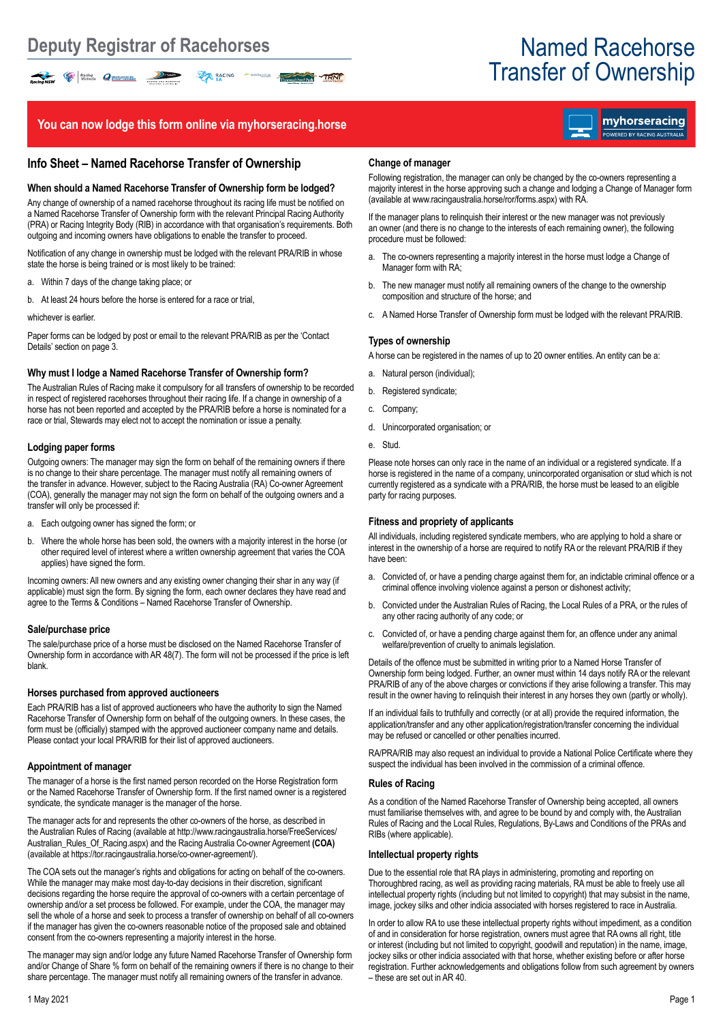# Transfer of Ownership

## **You can now lodge this form online via myhorseracing.horse**

RACING C

TRNF

### **Info Sheet – Named Racehorse Transfer of Ownership**

#### **When should a Named Racehorse Transfer of Ownership form be lodged?**

Any change of ownership of a named racehorse throughout its racing life must be notified on a Named Racehorse Transfer of Ownership form with the relevant Principal Racing Authority (PRA) or Racing Integrity Body (RIB) in accordance with that organisation's requirements. Both outgoing and incoming owners have obligations to enable the transfer to proceed.

Notification of any change in ownership must be lodged with the relevant PRA/RIB in whose state the horse is being trained or is most likely to be trained:

a. Within 7 days of the change taking place; or

Racing NSW Recinq<sub>ue</sub> Contains Communication Communication Communication Communication Communication Communication Communication Communication Communication Communication Communication Communication Communication Communica

b. At least 24 hours before the horse is entered for a race or trial,

#### whichever is earlier.

Paper forms can be lodged by post or email to the relevant PRA/RIB as per the 'Contact Details' section on page 3.

#### **Why must I lodge a Named Racehorse Transfer of Ownership form?**

The Australian Rules of Racing make it compulsory for all transfers of ownership to be recorded in respect of registered racehorses throughout their racing life. If a change in ownership of a horse has not been reported and accepted by the PRA/RIB before a horse is nominated for a race or trial, Stewards may elect not to accept the nomination or issue a penalty.

#### **Lodging paper forms**

Outgoing owners: The manager may sign the form on behalf of the remaining owners if there is no change to their share percentage. The manager must notify all remaining owners of the transfer in advance. However, subject to the Racing Australia (RA) Co-owner Agreement (COA), generally the manager may not sign the form on behalf of the outgoing owners and a transfer will only be processed if:

- a. Each outgoing owner has signed the form; or
- b. Where the whole horse has been sold, the owners with a majority interest in the horse (or other required level of interest where a written ownership agreement that varies the COA applies) have signed the form.

Incoming owners: All new owners and any existing owner changing their shar in any way (if applicable) must sign the form. By signing the form, each owner declares they have read and agree to the Terms & Conditions – Named Racehorse Transfer of Ownership.

#### **Sale/purchase price**

The sale/purchase price of a horse must be disclosed on the Named Racehorse Transfer of Ownership form in accordance with AR 48(7). The form will not be processed if the price is left blank.

#### **Horses purchased from approved auctioneers**

Each PRA/RIB has a list of approved auctioneers who have the authority to sign the Named Racehorse Transfer of Ownership form on behalf of the outgoing owners. In these cases, the form must be (officially) stamped with the approved auctioneer company name and details. Please contact your local PRA/RIB for their list of approved auctioneers.

#### **Appointment of manager**

The manager of a horse is the first named person recorded on the Horse Registration form or the Named Racehorse Transfer of Ownership form. If the first named owner is a registered syndicate, the syndicate manager is the manager of the horse.

The manager acts for and represents the other co-owners of the horse, as described in the Australian Rules of Racing (available at http://www.racingaustralia.horse/FreeServices/ Australian\_Rules\_Of\_Racing.aspx) and the Racing Australia Co-owner Agreement **(COA)**  (available at https://tor.racingaustralia.horse/co-owner-agreement/).

The COA sets out the manager's rights and obligations for acting on behalf of the co-owners. While the manager may make most day-to-day decisions in their discretion, significant decisions regarding the horse require the approval of co-owners with a certain percentage of ownership and/or a set process be followed. For example, under the COA, the manager may sell the whole of a horse and seek to process a transfer of ownership on behalf of all co-owners if the manager has given the co-owners reasonable notice of the proposed sale and obtained consent from the co-owners representing a majority interest in the horse.

The manager may sign and/or lodge any future Named Racehorse Transfer of Ownership form and/or Change of Share % form on behalf of the remaining owners if there is no change to their share percentage. The manager must notify all remaining owners of the transfer in advance.

#### **Change of manager**

Following registration, the manager can only be changed by the co-owners representing a majority interest in the horse approving such a change and lodging a Change of Manager form (available at www.racingaustralia.horse/ror/forms.aspx) with RA.

If the manager plans to relinquish their interest or the new manager was not previously an owner (and there is no change to the interests of each remaining owner), the following procedure must be followed:

- a. The co-owners representing a majority interest in the horse must lodge a Change of Manager form with RA;
- b. The new manager must notify all remaining owners of the change to the ownership composition and structure of the horse; and
- c. A Named Horse Transfer of Ownership form must be lodged with the relevant PRA/RIB.

### **Types of ownership**

A horse can be registered in the names of up to 20 owner entities. An entity can be a:

- a. Natural person (individual);
- b. Registered syndicate;
- c. Company;
- d. Unincorporated organisation; or
- e. Stud.

Please note horses can only race in the name of an individual or a registered syndicate. If a horse is registered in the name of a company, unincorporated organisation or stud which is not currently registered as a syndicate with a PRA/RIB, the horse must be leased to an eligible party for racing purposes.

#### **Fitness and propriety of applicants**

All individuals, including registered syndicate members, who are applying to hold a share or interest in the ownership of a horse are required to notify RA or the relevant PRA/RIB if they have been:

- a. Convicted of, or have a pending charge against them for, an indictable criminal offence or a criminal offence involving violence against a person or dishonest activity;
- b. Convicted under the Australian Rules of Racing, the Local Rules of a PRA, or the rules of any other racing authority of any code; or
- c. Convicted of, or have a pending charge against them for, an offence under any animal welfare/prevention of cruelty to animals legislation.

Details of the offence must be submitted in writing prior to a Named Horse Transfer of Ownership form being lodged. Further, an owner must within 14 days notify RA or the relevant PRA/RIB of any of the above charges or convictions if they arise following a transfer. This may result in the owner having to relinquish their interest in any horses they own (partly or wholly).

If an individual fails to truthfully and correctly (or at all) provide the required information, the application/transfer and any other application/registration/transfer concerning the individual may be refused or cancelled or other penalties incurred.

RA/PRA/RIB may also request an individual to provide a National Police Certificate where they suspect the individual has been involved in the commission of a criminal offence.

#### **Rules of Racing**

As a condition of the Named Racehorse Transfer of Ownership being accepted, all owners must familiarise themselves with, and agree to be bound by and comply with, the Australian Rules of Racing and the Local Rules, Regulations, By-Laws and Conditions of the PRAs and RIBs (where applicable).

#### **Intellectual property rights**

Due to the essential role that RA plays in administering, promoting and reporting on Thoroughbred racing, as well as providing racing materials, RA must be able to freely use all intellectual property rights (including but not limited to copyright) that may subsist in the name, image, jockey silks and other indicia associated with horses registered to race in Australia.

In order to allow RA to use these intellectual property rights without impediment, as a condition of and in consideration for horse registration, owners must agree that RA owns all right, title or interest (including but not limited to copyright, goodwill and reputation) in the name, image, jockey silks or other indicia associated with that horse, whether existing before or after horse registration. Further acknowledgements and obligations follow from such agreement by owners – these are set out in AR 40.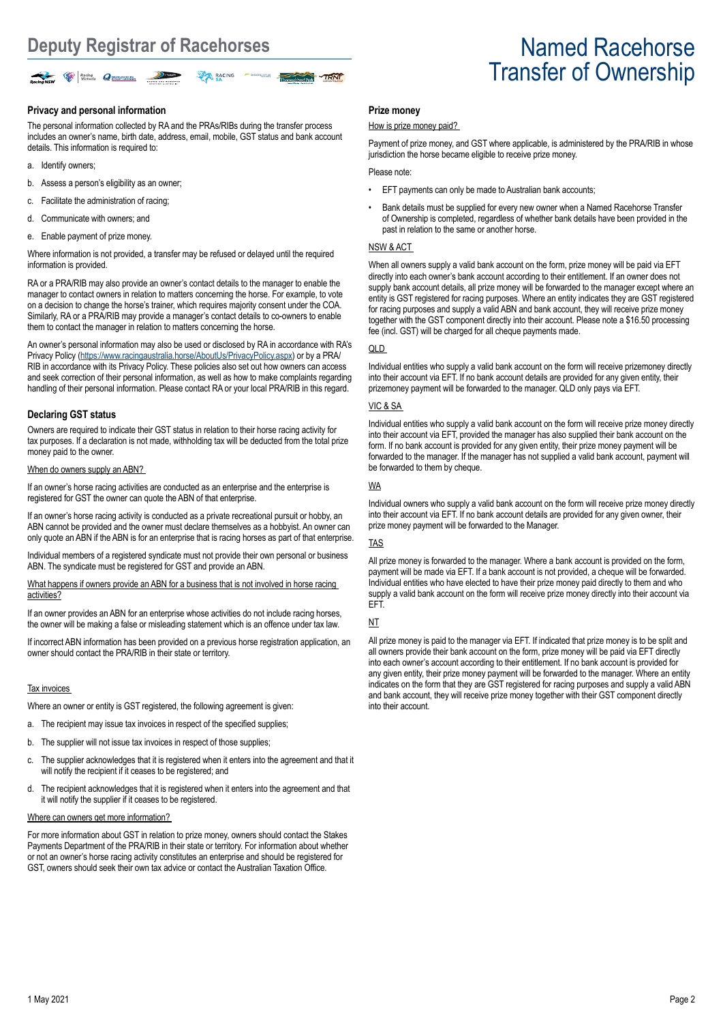

#### **Privacy and personal information**

The personal information collected by RA and the PRAs/RIBs during the transfer process includes an owner's name, birth date, address, email, mobile, GST status and bank account details. This information is required to:

- a. Identify owners;
- b. Assess a person's eligibility as an owner;
- c. Facilitate the administration of racing;
- d. Communicate with owners; and
- e. Enable payment of prize money.

Where information is not provided, a transfer may be refused or delayed until the required information is provided.

RA or a PRA/RIB may also provide an owner's contact details to the manager to enable the manager to contact owners in relation to matters concerning the horse. For example, to vote on a decision to change the horse's trainer, which requires majority consent under the COA. Similarly, RA or a PRA/RIB may provide a manager's contact details to co-owners to enable them to contact the manager in relation to matters concerning the horse.

An owner's personal information may also be used or disclosed by RA in accordance with RA's Privacy Policy ([https://www.racingaustralia.horse/AboutUs/PrivacyPolicy.aspx\)](https://www.racingaustralia.horse/AboutUs/PrivacyPolicy.aspx) or by a PRA/ RIB in accordance with its Privacy Policy. These policies also set out how owners can access and seek correction of their personal information, as well as how to make complaints regarding handling of their personal information. Please contact RA or your local PRA/RIB in this regard.

#### **Declaring GST status**

Owners are required to indicate their GST status in relation to their horse racing activity for tax purposes. If a declaration is not made, withholding tax will be deducted from the total prize money paid to the owner.

#### When do owners supply an ABN?

If an owner's horse racing activities are conducted as an enterprise and the enterprise is registered for GST the owner can quote the ABN of that enterprise.

If an owner's horse racing activity is conducted as a private recreational pursuit or hobby, an ABN cannot be provided and the owner must declare themselves as a hobbyist. An owner can only quote an ABN if the ABN is for an enterprise that is racing horses as part of that enterprise.

Individual members of a registered syndicate must not provide their own personal or business ABN. The syndicate must be registered for GST and provide an ABN.

What happens if owners provide an ABN for a business that is not involved in horse racing activities?

If an owner provides an ABN for an enterprise whose activities do not include racing horses, the owner will be making a false or misleading statement which is an offence under tax law.

If incorrect ABN information has been provided on a previous horse registration application, an owner should contact the PRA/RIB in their state or territory.

#### Tax invoices

Where an owner or entity is GST registered, the following agreement is given:

- a. The recipient may issue tax invoices in respect of the specified supplies;
- b. The supplier will not issue tax invoices in respect of those supplies:
- c. The supplier acknowledges that it is registered when it enters into the agreement and that it will notify the recipient if it ceases to be registered; and
- d. The recipient acknowledges that it is registered when it enters into the agreement and that it will notify the supplier if it ceases to be registered.

#### Where can owners get more information?

For more information about GST in relation to prize money, owners should contact the Stakes Payments Department of the PRA/RIB in their state or territory. For information about whether or not an owner's horse racing activity constitutes an enterprise and should be registered for GST, owners should seek their own tax advice or contact the Australian Taxation Office.

#### **Prize money**

#### How is prize money paid?

Payment of prize money, and GST where applicable, is administered by the PRA/RIB in whose jurisdiction the horse became eligible to receive prize money.

#### Please note:

- EFT payments can only be made to Australian bank accounts;
- Bank details must be supplied for every new owner when a Named Racehorse Transfer of Ownership is completed, regardless of whether bank details have been provided in the past in relation to the same or another horse.

#### NSW & ACT

When all owners supply a valid bank account on the form, prize money will be paid via EFT directly into each owner's bank account according to their entitlement. If an owner does not supply bank account details, all prize money will be forwarded to the manager except where an entity is GST registered for racing purposes. Where an entity indicates they are GST registered for racing purposes and supply a valid ABN and bank account, they will receive prize money together with the GST component directly into their account. Please note a \$16.50 processing fee (incl. GST) will be charged for all cheque payments made.

#### QLD

Individual entities who supply a valid bank account on the form will receive prizemoney directly into their account via EFT. If no bank account details are provided for any given entity, their prizemoney payment will be forwarded to the manager. QLD only pays via EFT.

#### VIC & SA

Individual entities who supply a valid bank account on the form will receive prize money directly into their account via EFT, provided the manager has also supplied their bank account on the form. If no bank account is provided for any given entity, their prize money payment will be forwarded to the manager. If the manager has not supplied a valid bank account, payment will be forwarded to them by cheque.

#### WA

Individual owners who supply a valid bank account on the form will receive prize money directly into their account via EFT. If no bank account details are provided for any given owner, their prize money payment will be forwarded to the Manager.

#### TAS

All prize money is forwarded to the manager. Where a bank account is provided on the form, payment will be made via EFT. If a bank account is not provided, a cheque will be forwarded. Individual entities who have elected to have their prize money paid directly to them and who supply a valid bank account on the form will receive prize money directly into their account via EFT.

#### NT

All prize money is paid to the manager via EFT. If indicated that prize money is to be split and all owners provide their bank account on the form, prize money will be paid via EFT directly into each owner's account according to their entitlement. If no bank account is provided for any given entity, their prize money payment will be forwarded to the manager. Where an entity indicates on the form that they are GST registered for racing purposes and supply a valid ABN and bank account, they will receive prize money together with their GST component directly into their account.

# Transfer of Ownership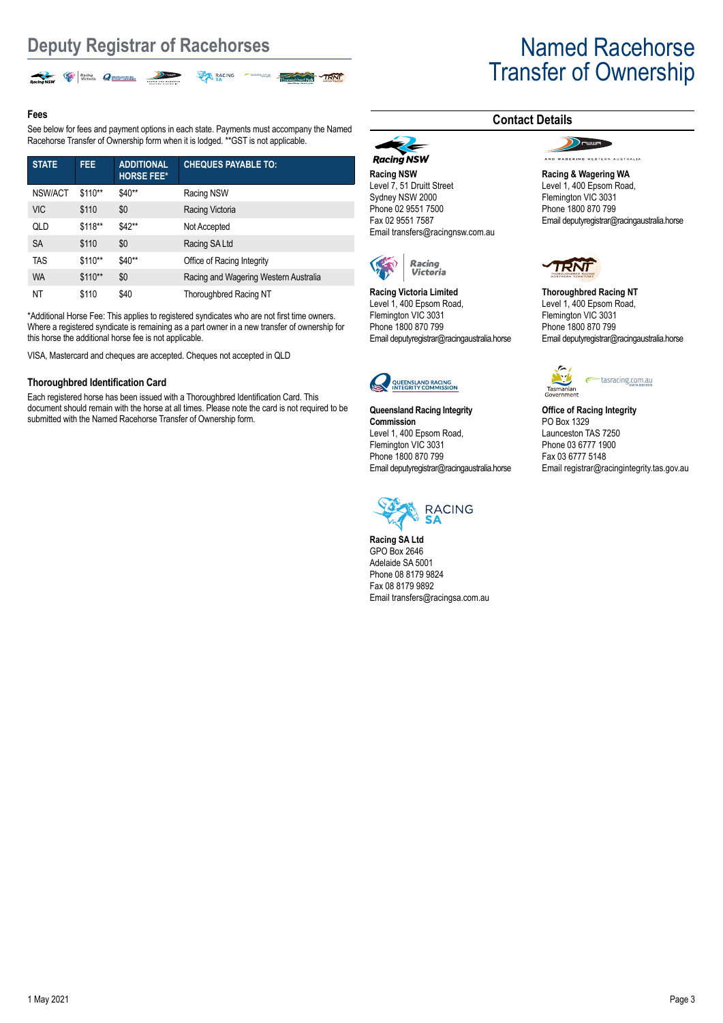

### **Fees**

See below for fees and payment options in each state. Payments must accompany the Named Racehorse Transfer of Ownership form when it is lodged. \*\* GST is not applicable.

| <b>STATE</b> | FEE.     | <b>ADDITIONAL</b><br><b>HORSE FEE*</b> | <b>CHEQUES PAYABLE TO:</b>            |
|--------------|----------|----------------------------------------|---------------------------------------|
| NSW/ACT      | $$110**$ | \$40**                                 | Racing NSW                            |
| <b>VIC</b>   | \$110    | \$0                                    | Racing Victoria                       |
| QLD          | \$118**  | \$42**                                 | Not Accepted                          |
| <b>SA</b>    | \$110    | \$0                                    | Racing SA Ltd                         |
| <b>TAS</b>   | \$110**  | \$40**                                 | Office of Racing Integrity            |
| <b>WA</b>    | $$110**$ | \$0                                    | Racing and Wagering Western Australia |
| ΝT           | \$110    | \$40                                   | Thoroughbred Racing NT                |

\*Additional Horse Fee: This applies to registered syndicates who are not first time owners. Where a registered syndicate is remaining as a part owner in a new transfer of ownership for this horse the additional horse fee is not applicable.

VISA, Mastercard and cheques are accepted. Cheques not accepted in QLD

#### **Thoroughbred Identification Card**

Each registered horse has been issued with a Thoroughbred Identification Card. This document should remain with the horse at all times. Please note the card is not required to be submitted with the Named Racehorse Transfer of Ownership form.

# Transfer of Ownership

## **Contact Details**

 $\sum$ 

AND WASERING WESTERN AUSTRALIA

**Racing & Wagering WA** Level 1, 400 Epsom Road, Flemington VIC 3031 Phone 1800 870 799 Email deputyregistrar@racingaustralia.horse



**Thoroughbred Racing NT** Level 1, 400 Epsom Road, Flemington VIC 3031 Phone 1800 870 799 Email deputyregistrar@racingaustralia.horse



**Office of Racing Integrity** PO Box 1329 Launceston TAS 7250 Phone 03 6777 1900 Fax 03 6777 5148 Email registrar@racingintegrity.tas.gov.au



Email deputyregistrar@racingaustralia.horse

**Queensland Racing Integrity** 

QUEENSLAND RACING<br>INTEGRITY COMMISSION

Level 1, 400 Epsom Road, Flemington VIC 3031 Phone 1800 870 799

**Commission**

**Racing NSW** Level 7, 51 Druitt Street Sydney NSW 2000 Phone 02 9551 7500 Fax 02 9551 7587

**Racing NSW** 

Email transfers@racingnsw.com.au

Racing<br>Victoria

Email deputyregistrar@racingaustralia.horse

**Racing Victoria Limited** Level 1, 400 Epsom Road, Flemington VIC 3031 Phone 1800 870 799

**Racing SA Ltd** GPO Box 2646 Adelaide SA 5001 Phone 08 8179 9824 Fax 08 8179 9892 Email transfers@racingsa.com.au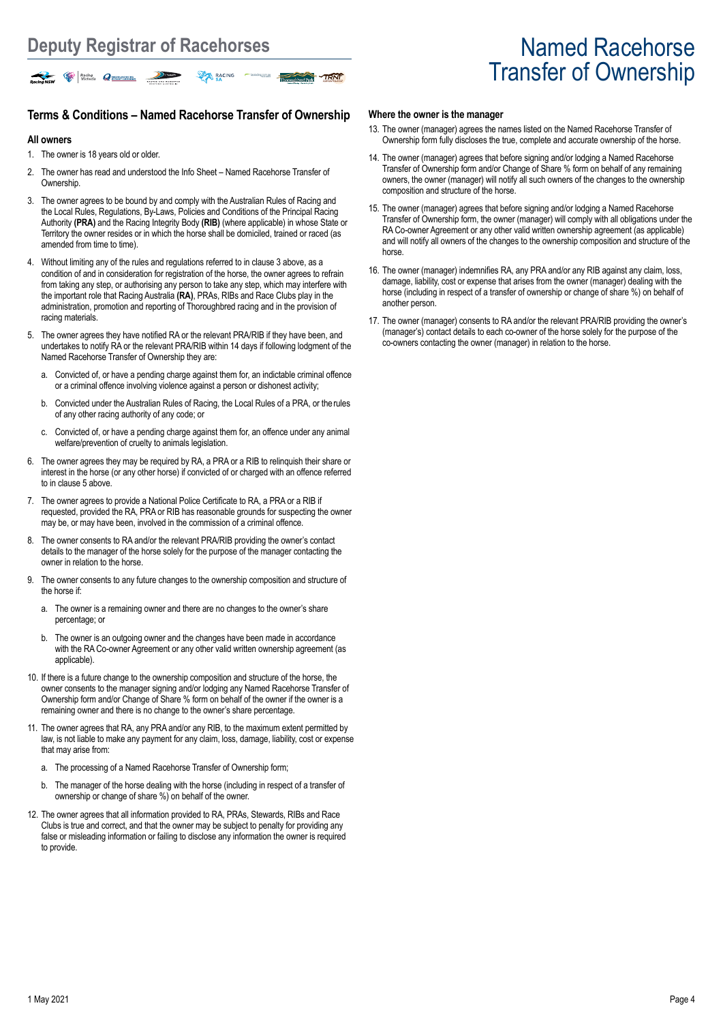# Transfer of Ownership

# **Terms & Conditions – Named Racehorse Transfer of Ownership**

ing comau

TRNF

#### **All owners**

- 1. The owner is 18 years old or older.
- 2. The owner has read and understood the Info Sheet Named Racehorse Transfer of **Ownership**
- 3. The owner agrees to be bound by and comply with the Australian Rules of Racing and the Local Rules, Regulations, By-Laws, Policies and Conditions of the Principal Racing Authority **(PRA)** and the Racing Integrity Body **(RIB)** (where applicable) in whose State or Territory the owner resides or in which the horse shall be domiciled, trained or raced (as amended from time to time).
- 4. Without limiting any of the rules and regulations referred to in clause 3 above, as a condition of and in consideration for registration of the horse, the owner agrees to refrain from taking any step, or authorising any person to take any step, which may interfere with the important role that Racing Australia **(RA)**, PRAs, RIBs and Race Clubs play in the administration, promotion and reporting of Thoroughbred racing and in the provision of racing materials.
- 5. The owner agrees they have notified RA or the relevant PRA/RIB if they have been, and undertakes to notify RA or the relevant PRA/RIB within 14 days if following lodgment of the Named Racehorse Transfer of Ownership they are:
	- a. Convicted of, or have a pending charge against them for, an indictable criminal offence or a criminal offence involving violence against a person or dishonest activity;
	- b. Convicted under the Australian Rules of Racing, the Local Rules of a PRA, or therules of any other racing authority of any code; or
	- c. Convicted of, or have a pending charge against them for, an offence under any animal welfare/prevention of cruelty to animals legislation.
- 6. The owner agrees they may be required by RA, a PRA or a RIB to relinquish their share or interest in the horse (or any other horse) if convicted of or charged with an offence referred to in clause 5 above
- 7. The owner agrees to provide a National Police Certificate to RA, a PRA or a RIB if requested, provided the RA, PRA or RIB has reasonable grounds for suspecting the owner may be, or may have been, involved in the commission of a criminal offence.
- 8. The owner consents to RA and/or the relevant PRA/RIB providing the owner's contact details to the manager of the horse solely for the purpose of the manager contacting the owner in relation to the horse.
- 9. The owner consents to any future changes to the ownership composition and structure of the horse if:
	- a. The owner is a remaining owner and there are no changes to the owner's share percentage; or
	- b. The owner is an outgoing owner and the changes have been made in accordance with the RA Co-owner Agreement or any other valid written ownership agreement (as applicable).
- 10. If there is a future change to the ownership composition and structure of the horse, the owner consents to the manager signing and/or lodging any Named Racehorse Transfer of Ownership form and/or Change of Share % form on behalf of the owner if the owner is a remaining owner and there is no change to the owner's share percentage.
- 11. The owner agrees that RA, any PRA and/or any RIB, to the maximum extent permitted by law, is not liable to make any payment for any claim, loss, damage, liability, cost or expense that may arise from:
	- a. The processing of a Named Racehorse Transfer of Ownership form;
	- b. The manager of the horse dealing with the horse (including in respect of a transfer of ownership or change of share %) on behalf of the owner.
- 12. The owner agrees that all information provided to RA, PRAs, Stewards, RIBs and Race Clubs is true and correct, and that the owner may be subject to penalty for providing any false or misleading information or failing to disclose any information the owner is required to provide.

#### **Where the owner is the manager**

- 13. The owner (manager) agrees the names listed on the Named Racehorse Transfer of Ownership form fully discloses the true, complete and accurate ownership of the horse.
- 14. The owner (manager) agrees that before signing and/or lodging a Named Racehorse Transfer of Ownership form and/or Change of Share % form on behalf of any remaining owners, the owner (manager) will notify all such owners of the changes to the ownership composition and structure of the horse.
- 15. The owner (manager) agrees that before signing and/or lodging a Named Racehorse Transfer of Ownership form, the owner (manager) will comply with all obligations under the RA Co-owner Agreement or any other valid written ownership agreement (as applicable) and will notify all owners of the changes to the ownership composition and structure of the horse.
- 16. The owner (manager) indemnifies RA, any PRA and/or any RIB against any claim, loss, damage, liability, cost or expense that arises from the owner (manager) dealing with the horse (including in respect of a transfer of ownership or change of share %) on behalf of another person.
- 17. The owner (manager) consents to RA and/or the relevant PRA/RIB providing the owner's (manager's) contact details to each co-owner of the horse solely for the purpose of the co-owners contacting the owner (manager) in relation to the horse.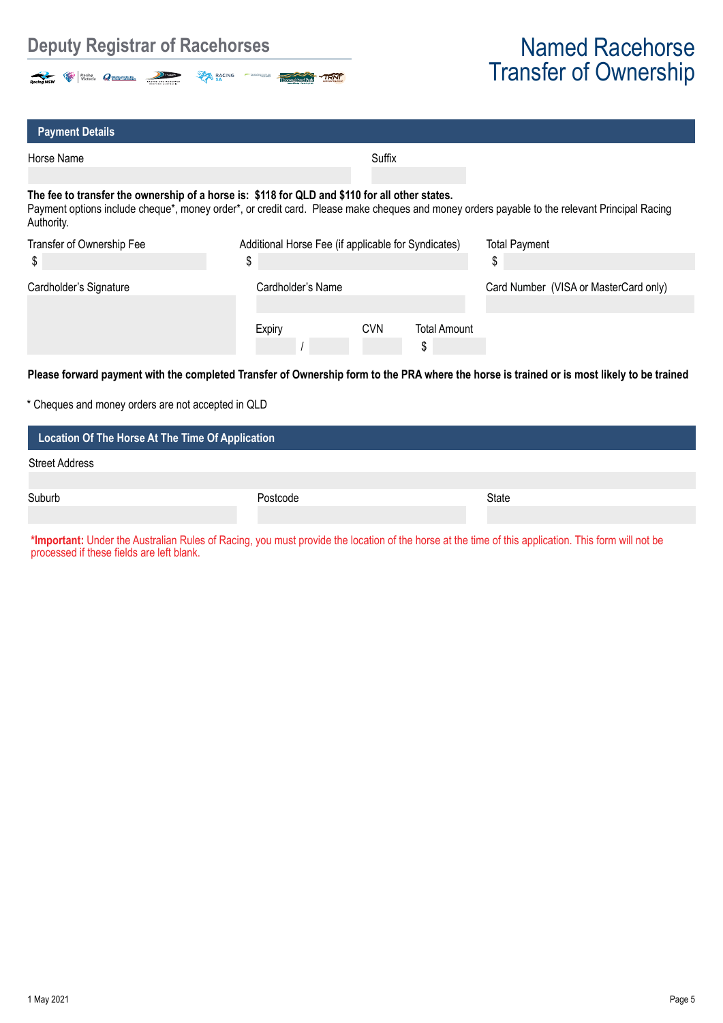# **Deputy Registrar of Racehorses** Named Racehorse



# Transfer of Ownership

| <b>Payment Details</b>                                                                                       |                                                           |            |                           |                                                                                                                                              |
|--------------------------------------------------------------------------------------------------------------|-----------------------------------------------------------|------------|---------------------------|----------------------------------------------------------------------------------------------------------------------------------------------|
| Horse Name                                                                                                   |                                                           | Suffix     |                           |                                                                                                                                              |
| The fee to transfer the ownership of a horse is: \$118 for QLD and \$110 for all other states.<br>Authority. |                                                           |            |                           | Payment options include cheque*, money order*, or credit card. Please make cheques and money orders payable to the relevant Principal Racing |
| Transfer of Ownership Fee<br>\$                                                                              | Additional Horse Fee (if applicable for Syndicates)<br>\$ |            |                           | <b>Total Payment</b><br>\$                                                                                                                   |
| Cardholder's Signature                                                                                       | Cardholder's Name                                         |            |                           | Card Number (VISA or MasterCard only)                                                                                                        |
|                                                                                                              | Expiry                                                    | <b>CVN</b> | <b>Total Amount</b><br>\$ |                                                                                                                                              |
|                                                                                                              |                                                           |            |                           | Please forward payment with the completed Transfer of Ownership form to the PRA where the horse is trained or is most likely to be trained   |

| Location Of The Horse At The Time Of Application |          |              |  |  |  |
|--------------------------------------------------|----------|--------------|--|--|--|
| <b>Street Address</b>                            |          |              |  |  |  |
| Suburb                                           | Postcode | <b>State</b> |  |  |  |
|                                                  |          |              |  |  |  |

**\*Important:** Under the Australian Rules of Racing, you must provide the location of the horse at the time of this application. This form will not be processed if these fields are left blank.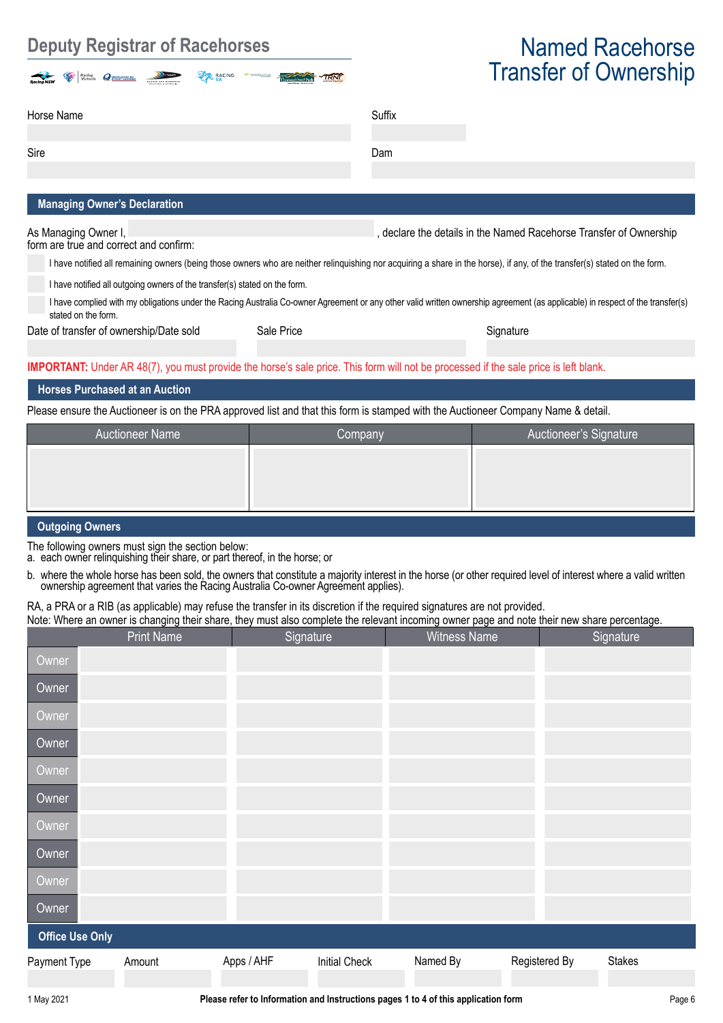# **Deputy Registrar of Racehorses Constraining Constraining Mamed Racehorse**

| $\rightarrow$<br><b>Racing NSW</b> | is.<br>Racing<br>Victoria<br>Ç. | OUEDISLAND RACING<br>63 | <b>Common</b><br>HACING AND NADERING<br>NESTERN AUSTRALES | <b>RACING</b> | tasracing.com.au | <b>BARACA</b><br>TRNT<br>Thoroughbred Park<br>Garbery Basier - De thrill of Kalk- |
|------------------------------------|---------------------------------|-------------------------|-----------------------------------------------------------|---------------|------------------|-----------------------------------------------------------------------------------|
|------------------------------------|---------------------------------|-------------------------|-----------------------------------------------------------|---------------|------------------|-----------------------------------------------------------------------------------|

# Transfer of Ownership

| Horse Name                          | Suffix |
|-------------------------------------|--------|
| Sire                                | Dam    |
| <b>Managing Owner's Declaration</b> |        |

As Managing Owner I, **As Managing Owner I, and the Internal and the A**s Managing Ownership in the Named Racehorse Transfer of Ownership

form are true and correct and confirm:

I have notified all remaining owners (being those owners who are neither relinquishing nor acquiring a share in the horse), if any, of the transfer(s) stated on the form.

I have notified all outgoing owners of the transfer(s) stated on the form.

I have complied with my obligations under the Racing Australia Co-owner Agreement or any other valid written ownership agreement (as applicable) in respect of the transfer(s) stated on the form.

Date of transfer of ownership/Date sold Sale Price Signature Signature Signature

**IMPORTANT:** Under AR 48(7), you must provide the horse's sale price. This form will not be processed if the sale price is left blank.

### **Horses Purchased at an Auction**

Please ensure the Auctioneer is on the PRA approved list and that this form is stamped with the Auctioneer Company Name & detail.

| <b>Auctioneer Name</b>  | Company | Auctioneer's Signature |  |  |  |  |
|-------------------------|---------|------------------------|--|--|--|--|
|                         |         |                        |  |  |  |  |
|                         |         |                        |  |  |  |  |
|                         |         |                        |  |  |  |  |
| <b>Outriging Owners</b> |         |                        |  |  |  |  |

### **Outgoing Owners**

The following owners must sign the section below:

a. each owner relinquishing their share, or part thereof, in the horse; or

b. where the whole horse has been sold, the owners that constitute a majority interest in the horse (or other required level of interest where a valid written ownership agreement that varies the Racing Australia Co-owner Agreement applies).

### RA, a PRA or a RIB (as applicable) may refuse the transfer in its discretion if the required signatures are not provided.

Note: Where an owner is changing their share, they must also complete the relevant incoming owner page and note their new share percentage.

|                        | <b>Print Name</b> |            | Signature            | <b>Witness Name</b> |               | Signature |
|------------------------|-------------------|------------|----------------------|---------------------|---------------|-----------|
| Owner                  |                   |            |                      |                     |               |           |
| Owner                  |                   |            |                      |                     |               |           |
| Owner                  |                   |            |                      |                     |               |           |
| Owner                  |                   |            |                      |                     |               |           |
| Owner                  |                   |            |                      |                     |               |           |
| Owner                  |                   |            |                      |                     |               |           |
| Owner                  |                   |            |                      |                     |               |           |
| Owner                  |                   |            |                      |                     |               |           |
| Owner                  |                   |            |                      |                     |               |           |
| Owner                  |                   |            |                      |                     |               |           |
| <b>Office Use Only</b> |                   |            |                      |                     |               |           |
| Payment Type           | Amount            | Apps / AHF | <b>Initial Check</b> | Named By            | Registered By | Stakes    |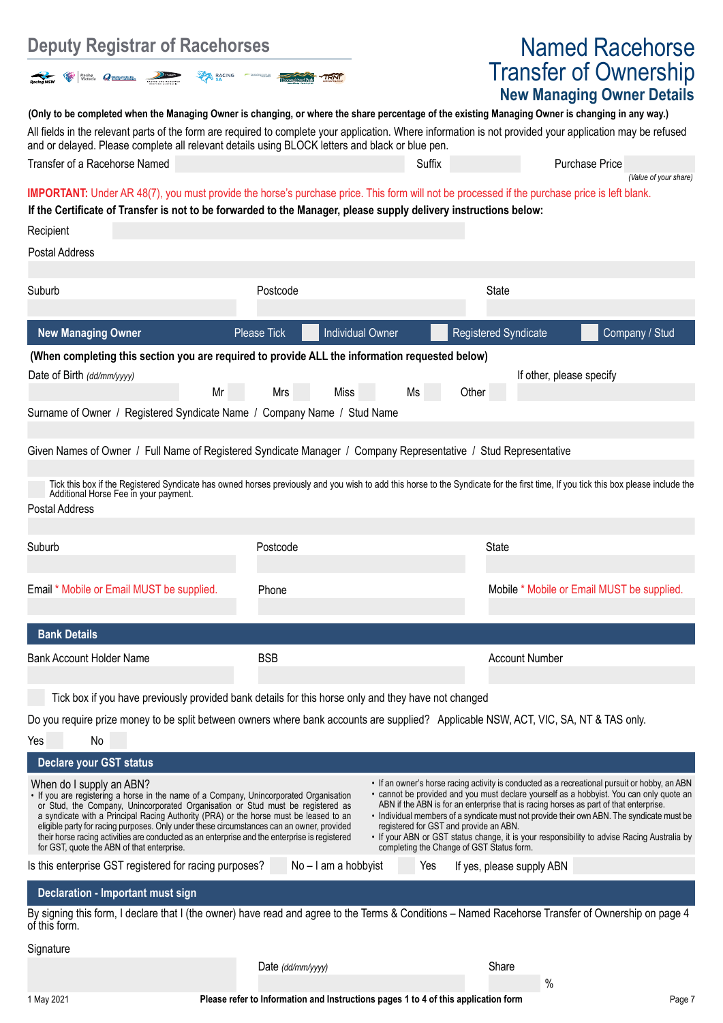| <b>Deputy Registrar of Racehorses</b>                                                                                                                                                                                                                                                                                                                                                                                                                                                                                                      |                                               | <b>Named Racehorse</b>                                                                                                                                                       |                                                                   |                                                                                                                                                                                                                                                                                                                                                                                      |
|--------------------------------------------------------------------------------------------------------------------------------------------------------------------------------------------------------------------------------------------------------------------------------------------------------------------------------------------------------------------------------------------------------------------------------------------------------------------------------------------------------------------------------------------|-----------------------------------------------|------------------------------------------------------------------------------------------------------------------------------------------------------------------------------|-------------------------------------------------------------------|--------------------------------------------------------------------------------------------------------------------------------------------------------------------------------------------------------------------------------------------------------------------------------------------------------------------------------------------------------------------------------------|
| Racing Cassay and Victoria<br><b>RACING</b>                                                                                                                                                                                                                                                                                                                                                                                                                                                                                                |                                               |                                                                                                                                                                              | <b>Transfer of Ownership</b><br><b>New Managing Owner Details</b> |                                                                                                                                                                                                                                                                                                                                                                                      |
| (Only to be completed when the Managing Owner is changing, or where the share percentage of the existing Managing Owner is changing in any way.)                                                                                                                                                                                                                                                                                                                                                                                           |                                               |                                                                                                                                                                              |                                                                   |                                                                                                                                                                                                                                                                                                                                                                                      |
| All fields in the relevant parts of the form are required to complete your application. Where information is not provided your application may be refused<br>and or delayed. Please complete all relevant details using BLOCK letters and black or blue pen.                                                                                                                                                                                                                                                                               |                                               |                                                                                                                                                                              |                                                                   |                                                                                                                                                                                                                                                                                                                                                                                      |
| Transfer of a Racehorse Named                                                                                                                                                                                                                                                                                                                                                                                                                                                                                                              |                                               | Suffix                                                                                                                                                                       |                                                                   | <b>Purchase Price</b><br>(Value of your share)                                                                                                                                                                                                                                                                                                                                       |
| <b>IMPORTANT:</b> Under AR 48(7), you must provide the horse's purchase price. This form will not be processed if the purchase price is left blank.                                                                                                                                                                                                                                                                                                                                                                                        |                                               |                                                                                                                                                                              |                                                                   |                                                                                                                                                                                                                                                                                                                                                                                      |
| If the Certificate of Transfer is not to be forwarded to the Manager, please supply delivery instructions below:<br>Recipient                                                                                                                                                                                                                                                                                                                                                                                                              |                                               |                                                                                                                                                                              |                                                                   |                                                                                                                                                                                                                                                                                                                                                                                      |
| Postal Address                                                                                                                                                                                                                                                                                                                                                                                                                                                                                                                             |                                               |                                                                                                                                                                              |                                                                   |                                                                                                                                                                                                                                                                                                                                                                                      |
|                                                                                                                                                                                                                                                                                                                                                                                                                                                                                                                                            | Postcode                                      |                                                                                                                                                                              |                                                                   |                                                                                                                                                                                                                                                                                                                                                                                      |
| Suburb                                                                                                                                                                                                                                                                                                                                                                                                                                                                                                                                     |                                               |                                                                                                                                                                              | State                                                             |                                                                                                                                                                                                                                                                                                                                                                                      |
| <b>New Managing Owner</b>                                                                                                                                                                                                                                                                                                                                                                                                                                                                                                                  | <b>Individual Owner</b><br><b>Please Tick</b> |                                                                                                                                                                              | <b>Registered Syndicate</b>                                       | Company / Stud                                                                                                                                                                                                                                                                                                                                                                       |
| (When completing this section you are required to provide ALL the information requested below)                                                                                                                                                                                                                                                                                                                                                                                                                                             |                                               |                                                                                                                                                                              |                                                                   |                                                                                                                                                                                                                                                                                                                                                                                      |
| Date of Birth (dd/mm/yyyy)<br>Mr                                                                                                                                                                                                                                                                                                                                                                                                                                                                                                           | Miss<br>Mrs                                   | Ms<br>Other                                                                                                                                                                  | If other, please specify                                          |                                                                                                                                                                                                                                                                                                                                                                                      |
| Surname of Owner / Registered Syndicate Name / Company Name / Stud Name                                                                                                                                                                                                                                                                                                                                                                                                                                                                    |                                               |                                                                                                                                                                              |                                                                   |                                                                                                                                                                                                                                                                                                                                                                                      |
|                                                                                                                                                                                                                                                                                                                                                                                                                                                                                                                                            |                                               |                                                                                                                                                                              |                                                                   |                                                                                                                                                                                                                                                                                                                                                                                      |
| Given Names of Owner / Full Name of Registered Syndicate Manager / Company Representative / Stud Representative                                                                                                                                                                                                                                                                                                                                                                                                                            |                                               |                                                                                                                                                                              |                                                                   |                                                                                                                                                                                                                                                                                                                                                                                      |
| Tick this box if the Registered Syndicate has owned horses previously and you wish to add this horse to the Syndicate for the first time, If you tick this box please include the<br>Additional Horse Fee in your payment.<br>Postal Address                                                                                                                                                                                                                                                                                               |                                               |                                                                                                                                                                              |                                                                   |                                                                                                                                                                                                                                                                                                                                                                                      |
| Suburb                                                                                                                                                                                                                                                                                                                                                                                                                                                                                                                                     | Postcode                                      |                                                                                                                                                                              | <b>State</b>                                                      |                                                                                                                                                                                                                                                                                                                                                                                      |
| Email * Mobile or Email MUST be supplied.                                                                                                                                                                                                                                                                                                                                                                                                                                                                                                  | Phone                                         |                                                                                                                                                                              |                                                                   | Mobile * Mobile or Email MUST be supplied.                                                                                                                                                                                                                                                                                                                                           |
| <b>Bank Details</b>                                                                                                                                                                                                                                                                                                                                                                                                                                                                                                                        |                                               |                                                                                                                                                                              |                                                                   |                                                                                                                                                                                                                                                                                                                                                                                      |
| <b>Bank Account Holder Name</b>                                                                                                                                                                                                                                                                                                                                                                                                                                                                                                            | <b>BSB</b>                                    |                                                                                                                                                                              | <b>Account Number</b>                                             |                                                                                                                                                                                                                                                                                                                                                                                      |
|                                                                                                                                                                                                                                                                                                                                                                                                                                                                                                                                            |                                               |                                                                                                                                                                              |                                                                   |                                                                                                                                                                                                                                                                                                                                                                                      |
| Tick box if you have previously provided bank details for this horse only and they have not changed                                                                                                                                                                                                                                                                                                                                                                                                                                        |                                               |                                                                                                                                                                              |                                                                   |                                                                                                                                                                                                                                                                                                                                                                                      |
| Do you require prize money to be split between owners where bank accounts are supplied? Applicable NSW, ACT, VIC, SA, NT & TAS only.<br>No<br>Yes                                                                                                                                                                                                                                                                                                                                                                                          |                                               |                                                                                                                                                                              |                                                                   |                                                                                                                                                                                                                                                                                                                                                                                      |
| <b>Declare your GST status</b>                                                                                                                                                                                                                                                                                                                                                                                                                                                                                                             |                                               |                                                                                                                                                                              |                                                                   |                                                                                                                                                                                                                                                                                                                                                                                      |
| When do I supply an ABN?<br>• If you are registering a horse in the name of a Company, Unincorporated Organisation<br>or Stud, the Company, Unincorporated Organisation or Stud must be registered as<br>a syndicate with a Principal Racing Authority (PRA) or the horse must be leased to an<br>eligible party for racing purposes. Only under these circumstances can an owner, provided<br>their horse racing activities are conducted as an enterprise and the enterprise is registered<br>for GST, quote the ABN of that enterprise. |                                               | ABN if the ABN is for an enterprise that is racing horses as part of that enterprise.<br>registered for GST and provide an ABN.<br>completing the Change of GST Status form. |                                                                   | • If an owner's horse racing activity is conducted as a recreational pursuit or hobby, an ABN<br>• cannot be provided and you must declare yourself as a hobbyist. You can only quote an<br>· Individual members of a syndicate must not provide their own ABN. The syndicate must be<br>• If your ABN or GST status change, it is your responsibility to advise Racing Australia by |
| Is this enterprise GST registered for racing purposes?                                                                                                                                                                                                                                                                                                                                                                                                                                                                                     | No - I am a hobbyist                          | Yes                                                                                                                                                                          | If yes, please supply ABN                                         |                                                                                                                                                                                                                                                                                                                                                                                      |
| Declaration - Important must sign                                                                                                                                                                                                                                                                                                                                                                                                                                                                                                          |                                               |                                                                                                                                                                              |                                                                   |                                                                                                                                                                                                                                                                                                                                                                                      |
| By signing this form, I declare that I (the owner) have read and agree to the Terms & Conditions – Named Racehorse Transfer of Ownership on page 4<br>of this form.                                                                                                                                                                                                                                                                                                                                                                        |                                               |                                                                                                                                                                              |                                                                   |                                                                                                                                                                                                                                                                                                                                                                                      |
| Signature                                                                                                                                                                                                                                                                                                                                                                                                                                                                                                                                  |                                               |                                                                                                                                                                              |                                                                   |                                                                                                                                                                                                                                                                                                                                                                                      |
|                                                                                                                                                                                                                                                                                                                                                                                                                                                                                                                                            | Date (dd/mm/yyyy)                             |                                                                                                                                                                              | Share<br>%                                                        |                                                                                                                                                                                                                                                                                                                                                                                      |